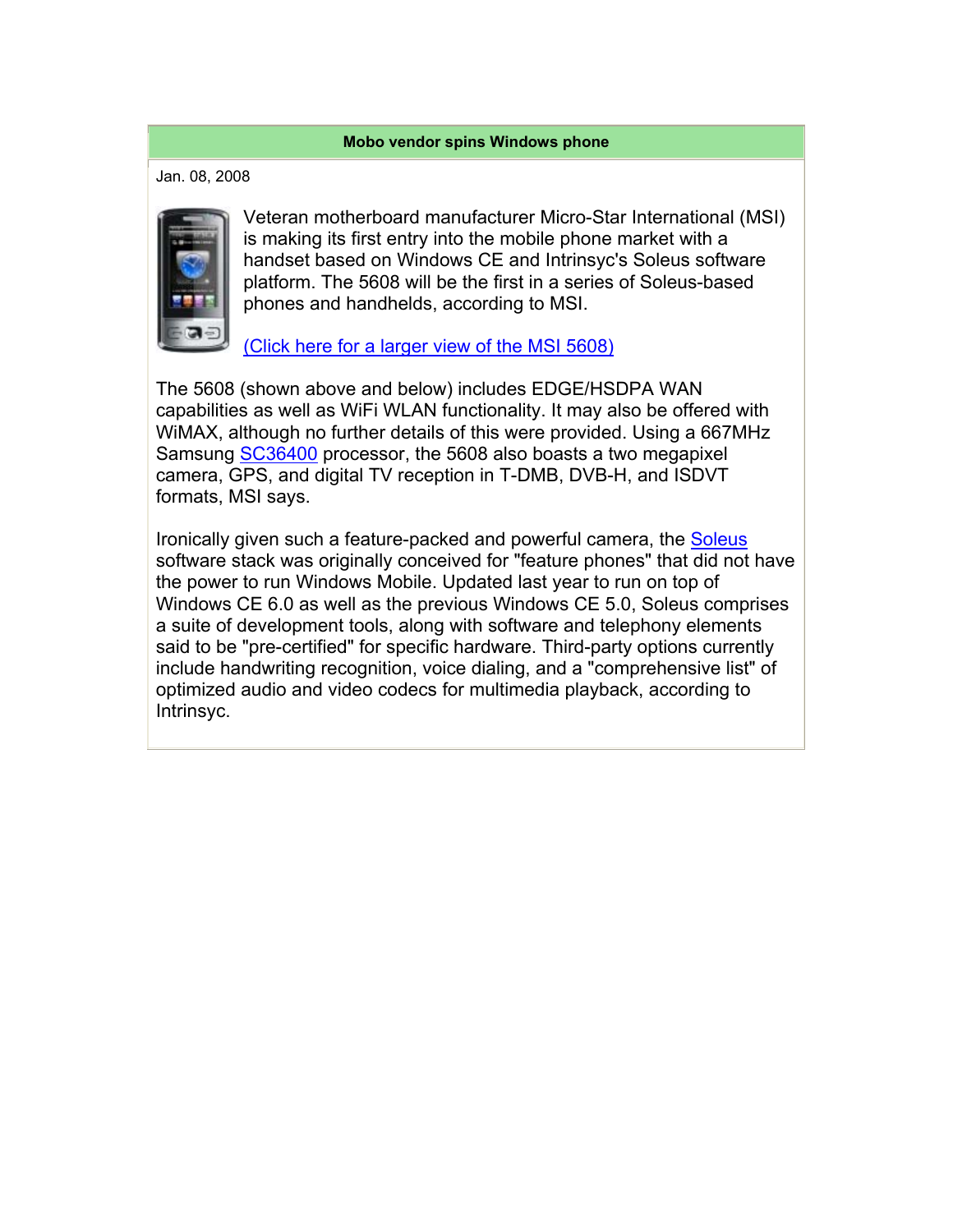## **Mobo vendor spins Windows phone**

Jan. 08, 2008



Veteran motherboard manufacturer Micro-Star International (MSI) is making its first entry into the mobile phone market with a handset based on Windows CE and Intrinsyc's Soleus software platform. The 5608 will be the first in a series of Soleus-based phones and handhelds, according to MSI.

(Click here for a larger view of the MSI 5608)

The 5608 (shown above and below) includes EDGE/HSDPA WAN capabilities as well as WiFi WLAN functionality. It may also be offered with WiMAX, although no further details of this were provided. Using a 667MHz Samsung SC36400 processor, the 5608 also boasts a two megapixel camera, GPS, and digital TV reception in T-DMB, DVB-H, and ISDVT formats, MSI says.

Ironically given such a feature-packed and powerful camera, the Soleus software stack was originally conceived for "feature phones" that did not have the power to run Windows Mobile. Updated last year to run on top of Windows CE 6.0 as well as the previous Windows CE 5.0, Soleus comprises a suite of development tools, along with software and telephony elements said to be "pre-certified" for specific hardware. Third-party options currently include handwriting recognition, voice dialing, and a "comprehensive list" of optimized audio and video codecs for multimedia playback, according to Intrinsyc.